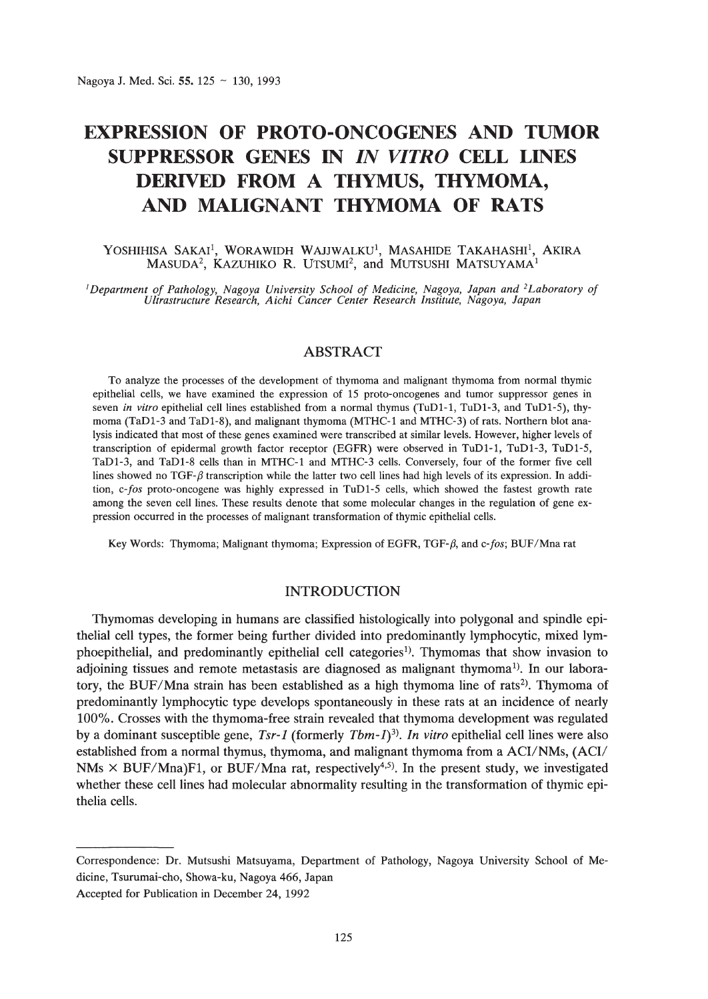# **EXPRESSION OF PROTO-ONCOGENES AND TUMOR SUPPRESSOR GENES IN** *IN VITRO* **CELL LINES DERIVED FROM A THYMUS, THYMOMA, AND MALIGNANT THYMOMA OF RATS**

#### Yoshihisa Sakai<sup>1</sup>, Worawidh Wajjwalku<sup>1</sup>, Masahide Takahashi<sup>1</sup>, Akira  $M$ ASUDA $^2$ , Kazuhiko R. Utsumi $^2$ , and Mutsushi Matsuyama $^1$

Department of Pathology, Nagoya University School of Medicine, Nagoya, Japan and <sup>2</sup>Laboratory of<br>Ultrastructure Research, Aichi Cancer Center Research Institute, Nagoya, Japan

# ABSTRACT

To analyze the processes of the development of thymoma and malignant thymoma from normal thymic epithelial cells, we have examined the expression of 15 proto-oncogenes and tumor suppressor genes in seven *in vitro* epithelial cell lines established from a normal thymus (TuD1-1, TuD1-3, and TuD1-5), thymoma (TaDI-3 and TaDI-8), and malignant thymoma (MTHC-l and MTHC-3) ofrats. Northern blot analysis indicated that most of these genes examined were transcribed at similar levels. However, higher levels of transcription of epidermal growth factor receptor (EGFR) were observed in TuDl-l, TuDl-3, TuDl-5, TaDI-3, and TaDl-8 cells than in MTHC-l and MTHC-3 cells. Conversely, four of the former five cell lines showed no TGF- $\beta$  transcription while the latter two cell lines had high levels of its expression. In addition, *c-fos* proto-oncogene was highly expressed in TuDl-5 cells, which showed the fastest growth rate among the seven cell lines. These results denote that some molecular changes in the regulation of gene expression occurred in the processes of malignant transformation of thymic epithelial cells.

Key Words: Thymoma; Malignant thymoma; Expression of EGFR, TGF- $\beta$ , and c-fos; BUF/Mna rat

# INTRODUCTION

Thymomas developing in humans are classified histologically into polygonal and spindle epithelial cell types, the former being further divided into predominantly lymphocytic, mixed Iymphoepithelial, and predominantly epithelial cell categories!). Thymomas that show invasion to adjoining tissues and remote metastasis are diagnosed as malignant thymoma<sup>1)</sup>. In our laboratory, the BUF/Mna strain has been established as a high thymoma line of rats<sup>2</sup>. Thymoma of predominantly lymphocytic type develops spontaneously in these rats at an incidence of nearly 100%. Crosses with the thymoma-free strain revealed that thymoma development was regulated by a dominant susceptible gene, *Tsr-l* (formerly *Tbm-l)3). In vitro* epithelial cell lines were also established from a normal thymus, thymoma, and malignant thymoma from a ACI/NMs, (ACI/ NMs  $\times$  BUF/Mna)F1, or BUF/Mna rat, respectively<sup>4,5)</sup>. In the present study, we investigated whether these cell lines had molecular abnormality resulting in the transformation of thymic epithelia cells.

Correspondence: Dr. Mutsushi Matsuyama, Department of Pathology, Nagoya University School of Medicine, Tsurumai-cho, Showa-ku, Nagoya 466, Japan

Accepted for Publication in December 24, 1992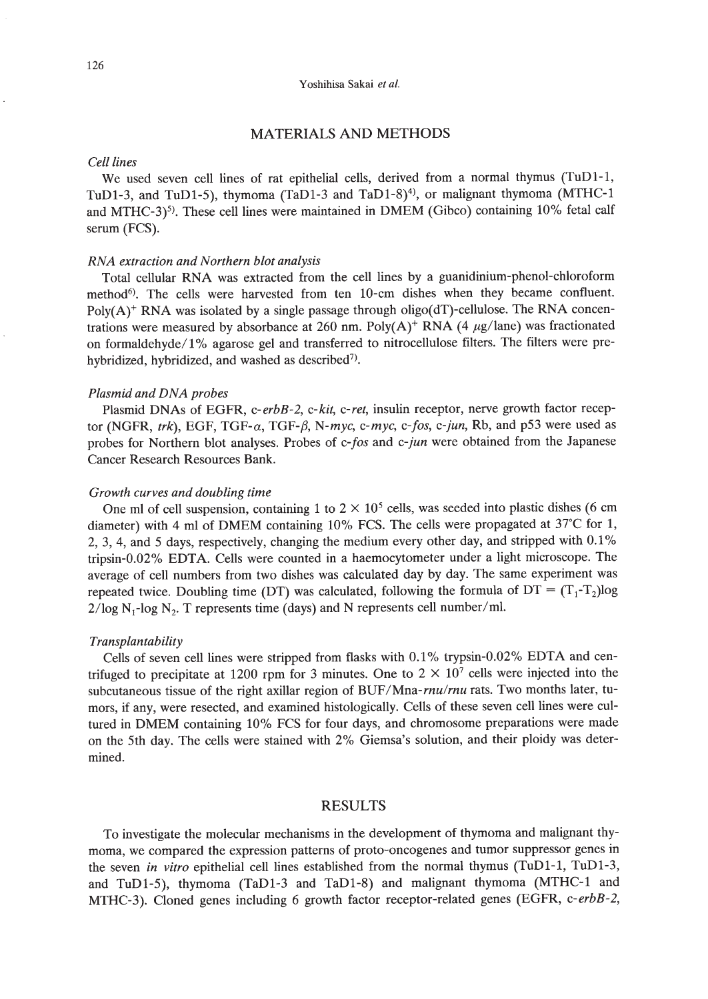# MATERIALS AND METHODS

#### *eel/lines*

We used seven cell lines of rat epithelial cells, derived from a normal thymus (TuD1-1, TuD1-3, and TuD1-5), thymoma (TaD1-3 and TaD1-8)<sup>4)</sup>, or malignant thymoma (MTHC-1 and MTHC-3)<sup>5)</sup>. These cell lines were maintained in DMEM (Gibco) containing  $10\%$  fetal calf serum (FCS).

#### *RNA extraction and Northern blot analysis*

Total cellular RNA was extracted from the cell lines by a guanidinium-phenol-chloroform method<sup>6)</sup>. The cells were harvested from ten 10-cm dishes when they became confluent. Poly(A)<sup>+</sup> RNA was isolated by a single passage through oligo(dT)-cellulose. The RNA concentrations were measured by absorbance at 260 nm. Poly(A)<sup>+</sup> RNA (4  $\mu$ g/lane) was fractionated on formaldehyde/ 1% agarose gel and transferred to nitrocellulose filters. The filters were prehybridized, hybridized, and washed as described<sup>7)</sup>.

#### *Plasmid and DNA probes*

Plasmid DNAs of EGFR, *c-erbB-2, c-kit, c-ret,* insulin receptor, nerve growth factor receptor (NGFR, *trk),* EGF, *TGF-a,* TGF-/J, *N-myc, c-myc, c-fos, c-jun,* Rb, and p53 were used as probes for Northern blot analyses. Probes of *c-fos* and *c-jun* were obtained from the Japanese Cancer Research Resources Bank.

#### *Growth curves and doubling time*

One ml of cell suspension, containing 1 to  $2 \times 10^5$  cells, was seeded into plastic dishes (6 cm diameter) with 4 ml of DMEM containing 10% FCS. The cells were propagated at *3rC* for 1, 2, 3, 4, and 5 days, respectively, changing the medium every other day, and stripped with 0.1 % tripsin-0.02% EDTA. Cells were counted in a haemocytometer under a light microscope. The average of cell numbers from two dishes was calculated day by day. The same experiment was repeated twice. Doubling time (DT) was calculated, following the formula of  $DT = (T_1 - T_2) \log$  $2/\log N_1$ -log N<sub>2</sub>. T represents time (days) and N represents cell number/ml.

#### *Transplantability*

Cells of seven cell lines were stripped from flasks with 0.1% trypsin-0.02% EDTA and centrifuged to precipitate at 1200 rpm for 3 minutes. One to  $2 \times 10^7$  cells were injected into the subcutaneous tissue of the right axillar region of BUF/Mna-rnu/rnu rats. Two months later, tumors, if any, were resected, and examined histologically. Cells of these seven cell lines were cultured in DMEM containing 10% FCS for four days, and chromosome preparations were made on the 5th day. The cells were stained with 2% Giemsa's solution, and their ploidy was determined.

#### RESULTS

To investigate the molecular mechanisms in the development of thymoma and malignant thymoma, we compared the expression patterns of proto-oncogenes and tumor suppressor genes in the seven *in vitro* epithelial cell lines established from the normal thymus (TuD1-1, TuDl-3, and TuDl-5), thymoma (TaD1-3 and TaD1-S) and malignant thymoma (MTHC-1 and MTHC-3). Cloned genes including 6 growth factor receptor-related genes (EGFR, *c-erbB-2,*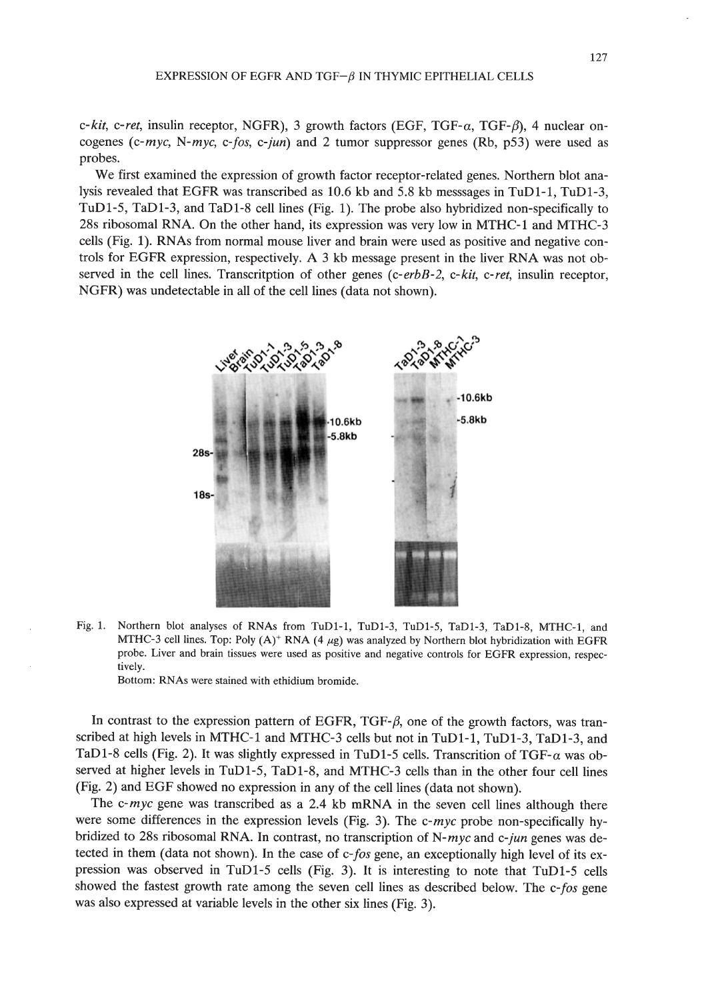*c-kit, c-ret,* insulin receptor, NGFR), 3 growth factors (EGF, TGF- $\alpha$ , TGF- $\beta$ ), 4 nuclear oncogenes *(c-myc, N-myc, c-fos, c-jun)* and 2 tumor suppressor genes (Rb, p53) were used as probes.

We first examined the expression of growth factor receptor-related genes. Northern blot analysis revealed that EGFR was transcribed as 10.6 kb and 5.8 kb messsages in TuDI-I, TuDI-3, TuDI-5, TaDI-3, and TaDI-8 cell lines (Fig. I). The probe also hybridized non-specifically to 28s ribosomal RNA. On the other hand, its expression was very low in MTHC-l and MTHC-3 cells (Fig. 1). RNAs from normal mouse liver and brain were used as positive and negative controls for EGFR expression, respectively. A 3 kb message present in the liver RNA was not observed in the cell lines. Transcritption of other genes *(c-erbB-2, c-kit, c-ret,* insulin receptor, NGFR) was undetectable in all of the cell lines (data not shown).



Fig. 1. Northern blot analyses of RNAs from TuD1-1, TuD1-3, TuD1-5, TaD1-3, TaD1-8, MTHC-1, and MTHC-3 cell lines. Top: Poly  $(A)^+$  RNA  $(4 \mu g)$  was analyzed by Northern blot hybridization with EGFR probe. Liver and brain tissues were used as positive and negative controls for EGFR expression, respectively.

Bottom: RNAs were stained with ethidium bromide.

In contrast to the expression pattern of EGFR, TGF- $\beta$ , one of the growth factors, was transcribed at high levels in MTHC-l and MTHC-3 cells but not in TuDl-l, TuDI-3, TaDI-3, and TaD1-8 cells (Fig. 2). It was slightly expressed in TuD1-5 cells. Transcrition of TGF- $\alpha$  was observed at higher levels in TuDI-5, TaDI-8, and MTHC-3 cells than in the other four cell lines (Fig. 2) and EGF showed no expression in any of the cell lines (data not shown).

The *c-myc* gene was transcribed as a 2.4 kb mRNA in the seven cell lines although there were some differences in the expression levels (Fig. 3). The *c-myc* probe non-specifically hybridized to 28s ribosomal RNA. In contrast, no transcription of *N-myc* and *c-jun* genes was detected in them (data not shown). In the case of *c-fos* gene, an exceptionally high level of its expression was observed in TuDI-5 cells (Fig. 3). It is interesting to note that TuDI-5 cells showed the fastest growth rate among the seven cell lines as described below. The *c-fos* gene was also expressed at variable levels in the other six lines (Fig. 3).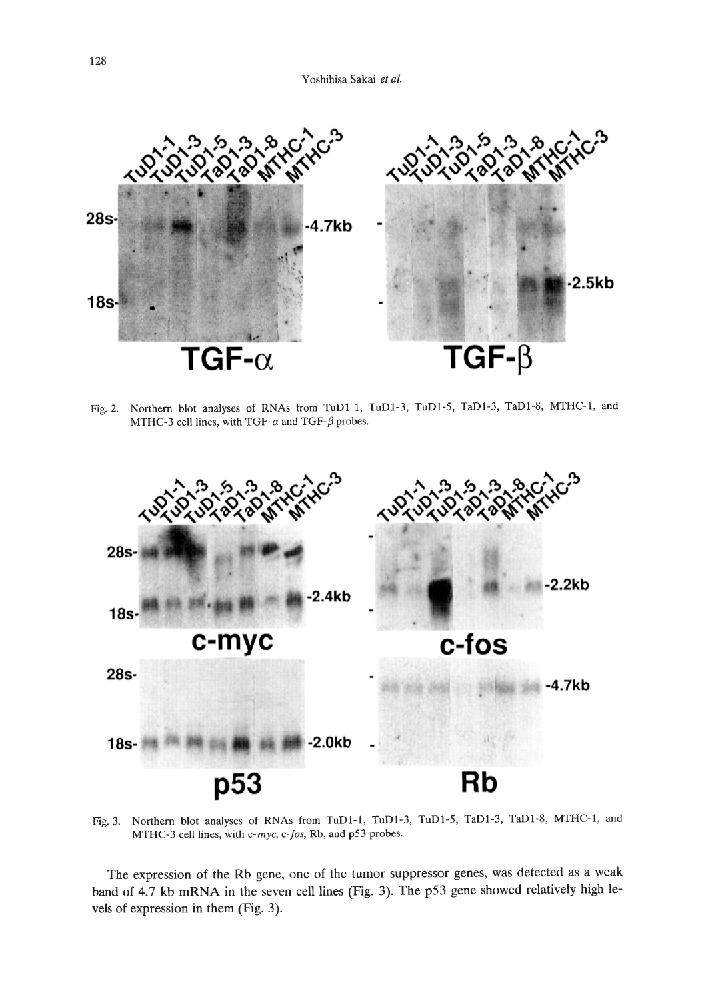

Fig. 2. Northern blot analyses of RNAs from TuDI-I, TuDI-3, TuDI-5, TaDI-3, TaDI-8, MTHC-I, and MTHC-3 cell lines, with TGF- $\alpha$  and TGF- $\beta$  probes.



Fig. 3. Northern blot analyses of RNAs from TuDI-I, TuDI-3, TuDI-5, TaDI-3, TaDI-8, MTHC-I, and MTHC-3 cell lines, with *c-myc, c-fos,* Rb, and p53 probes.

The expression of the Rb gene, one of the tumor suppressor genes, was detected as a weak band of 4.7 kb mRNA in the seven cell lines (Fig. 3). The p53 gene showed relatively high levels of expression in them (Fig. 3).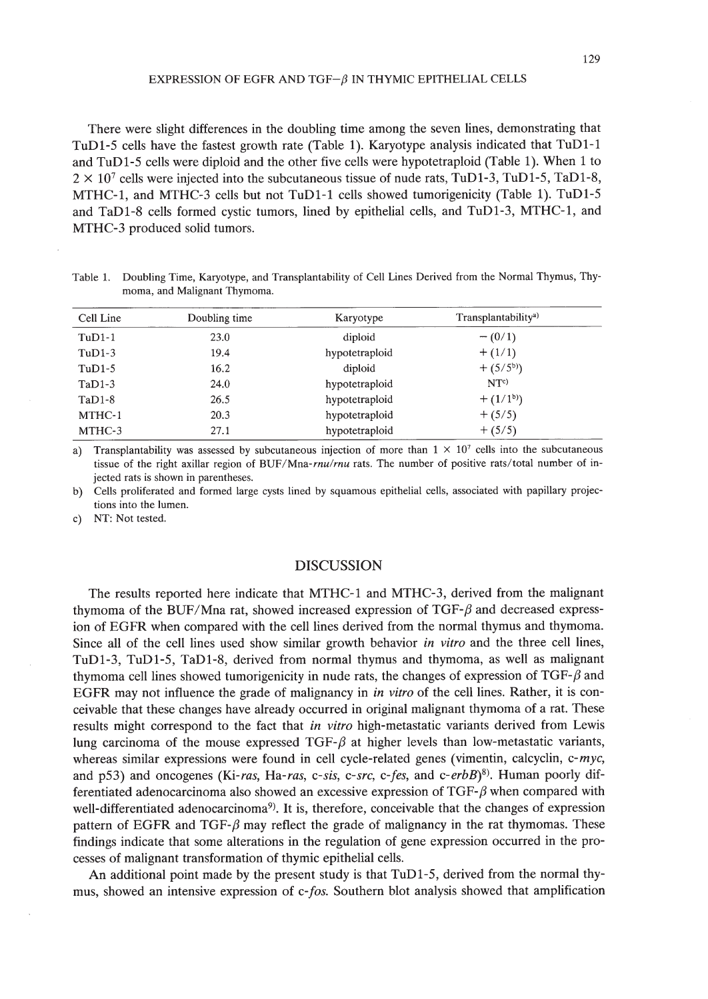There were slight differences in the doubling time among the seven lines, demonstrating that TuD1-5 cells have the fastest growth rate (Table 1). Karyotype analysis indicated that TuD1-1 and TuD1-5 cells were diploid and the other five cells were hypotetraploid (Table 1). When 1 to  $2 \times 10^7$  cells were injected into the subcutaneous tissue of nude rats, TuD1-3, TuD1-5, TaD1-8, MTHC-1, and MTHC-3 cells but not TuD1-1 cells showed tumorigenicity (Table 1). TuD1-5 and TaDl-8 cells formed cystic tumors, lined by epithelial cells, and TuD1-3, MTHC-1, and MTHC-3 produced solid tumors.

Table 1. Doubling Time, Karyotype, and TranspIantability of Cell Lines Derived from the Normal Thymus, Thymoma, and Malignant Thymoma.

| Cell Line | Doubling time | Karyotype      | Transplantability <sup>a)</sup> |  |
|-----------|---------------|----------------|---------------------------------|--|
| $TuD1-1$  | 23.0          | diploid        | $-(0/1)$                        |  |
| $TuD1-3$  | 19.4          | hypotetraploid | $+ (1/1)$                       |  |
| $TuD1-5$  | 16.2          | diploid        | $+$ (5/5 <sup>b</sup> ))        |  |
| $TaD1-3$  | 24.0          | hypotetraploid | NTc)                            |  |
| $TaD1-8$  | 26.5          | hypotetraploid | $+ (1/1b)$                      |  |
| MTHC-1    | 20.3          | hypotetraploid | $+ (5/5)$                       |  |
| MTHC-3    | 27.1          | hypotetraploid | $+ (5/5)$                       |  |

a) Transplantability was assessed by subcutaneous injection of more than  $1 \times 10^7$  cells into the subcutaneous tissue of the right axillar region of BUF/Mna-rnu/rnu rats. The number of positive rats/total number of injected rats is shown in parentheses.

b) Cells proliferated and formed large cysts lined by squamous epithelial cells, associated with papillary projections into the lumen.

c) NT: Not tested.

#### DISCUSSION

The results reported here indicate that MTHC-1 and MTHC-3, derived from the malignant thymoma of the BUF/Mna rat, showed increased expression of  $TGF-\beta$  and decreased expression of EGFR when compared with the cell lines derived from the normal thymus and thymoma. Since all of the cell lines used show similar growth behavior *in vitro* and the three cell lines, TuD1-3, TuD1-5, TaDl-8, derived from normal thymus and thymoma, as well as malignant thymoma cell lines showed tumorigenicity in nude rats, the changes of expression of TGF- $\beta$  and EGFR may not influence the grade of malignancy in *in vitro* of the cell lines. Rather, it is conceivable that these changes have already occurred in original malignant thymoma of a rat. These results might correspond to the fact that *in vitro* high-metastatic variants derived from Lewis lung carcinoma of the mouse expressed TGF- $\beta$  at higher levels than low-metastatic variants, whereas similar expressions were found in cell cycle-related genes (vimentin, calcyclin, *c-myc,* and p53) and oncogenes *(Ki-ras, Ha-ras, c-sis, c-src, c-fes,* and *c-erbB)8).* Human poorly differentiated adenocarcinoma also showed an excessive expression of  $TGF-\beta$  when compared with well-differentiated adenocarcinoma<sup>9</sup>). It is, therefore, conceivable that the changes of expression pattern of EGFR and TGF- $\beta$  may reflect the grade of malignancy in the rat thymomas. These findings indicate that some alterations in the regulation of gene expression occurred in the processes of malignant transformation of thymic epithelial cells.

An additional point made by the present study is that TuD1-5, derived from the normal thymus, showed an intensive expression of *c-fos.* Southern blot analysis showed that amplification